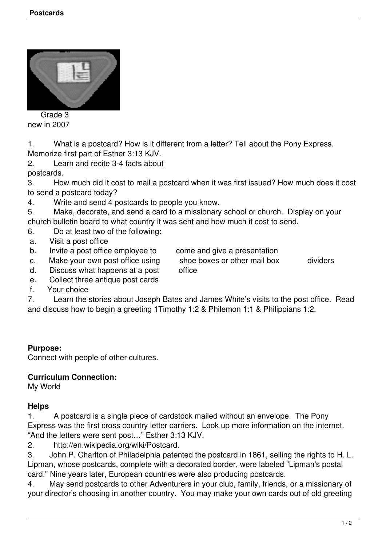

 Grade 3 new in 2007

1. What is a postcard? How is it different from a letter? Tell about the Pony Express. Memorize first part of Esther 3:13 KJV.

2. Learn and recite 3-4 facts about postcards.

3. How much did it cost to mail a postcard when it was first issued? How much does it cost to send a postcard today?

4. Write and send 4 postcards to people you know.

5. Make, decorate, and send a card to a missionary school or church. Display on your church bulletin board to what country it was sent and how much it cost to send.

- 6. Do at least two of the following:
- a. Visit a post office
- b. Invite a post office employee to come and give a presentation<br>c. Make your own post office using shoe boxes or other mail box

c. Make your own post office using shoe boxes or other mail box dividers

- d. Discuss what happens at a post office
- e. Collect three antique post cards
- f. Your choice

7. Learn the stories about Joseph Bates and James White's visits to the post office. Read and discuss how to begin a greeting 1Timothy 1:2 & Philemon 1:1 & Philippians 1:2.

## **Purpose:**

Connect with people of other cultures.

## **Curriculum Connection:**

My World

## **Helps**

1. A postcard is a single piece of cardstock mailed without an envelope. The Pony Express was the first cross country letter carriers. Look up more information on the internet. "And the letters were sent post…" Esther 3:13 KJV.

2. http://en.wikipedia.org/wiki/Postcard.

3. John P. Charlton of Philadelphia patented the postcard in 1861, selling the rights to H. L. Lipman, whose postcards, complete with a decorated border, were labeled "Lipman's postal card." Nine years later, European countries were also producing postcards.

4. May send postcards to other Adventurers in your club, family, friends, or a missionary of your director's choosing in another country. You may make your own cards out of old greeting